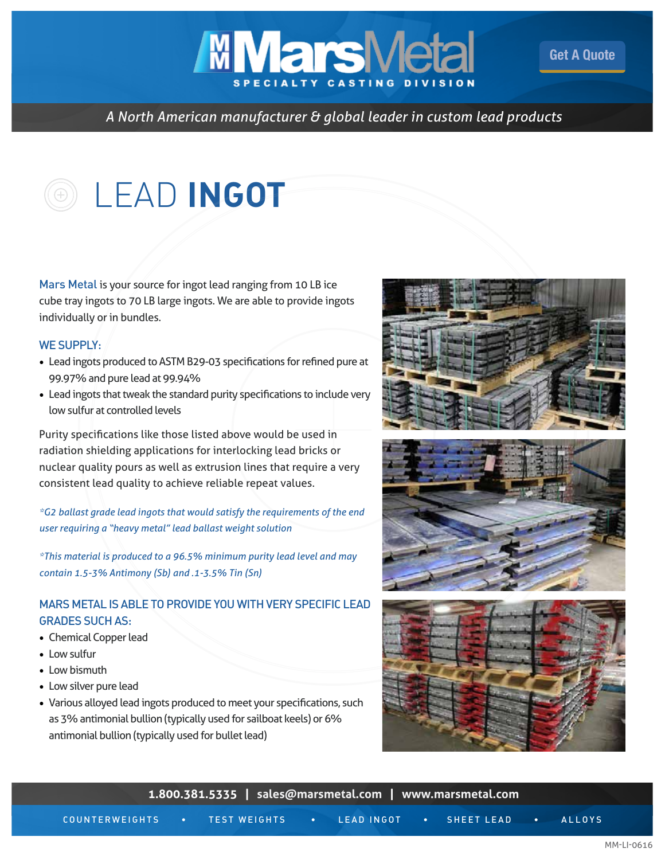## *A North American manufacturer & global leader in custom lead products*

**MMarsMeta** 

## LEAD **INGOT**

Mars Metal is your source for ingot lead ranging from 10 LB ice cube tray ingots to 70 LB large ingots. We are able to provide ingots individually or in bundles.

## WE SUPPLY:

- Lead ingots produced to ASTM B29-03 specifications for refined pure at 99.97% and pure lead at 99.94%
- Lead ingots that tweak the standard purity specifications to include very low sulfur at controlled levels

Purity specifications like those listed above would be used in radiation shielding applications for interlocking lead bricks or nuclear quality pours as well as extrusion lines that require a very consistent lead quality to achieve reliable repeat values.

*\*G2 ballast grade lead ingots that would satisfy the requirements of the end user requiring a "heavy metal" lead ballast weight solution*

*\*This material is produced to a 96.5% minimum purity lead level and may contain 1.5-3% Antimony (Sb) and .1-3.5% Tin (Sn)*

## MARS METAL IS ABLE TO PROVIDE YOU WITH VERY SPECIFIC LEAD GRADES SUCH AS:

- Chemical Copper lead
- Low sulfur
- Low bismuth
- Low silver pure lead
- Various alloyed lead ingots produced to meet your specifications, such as 3% antimonial bullion (typically used for sailboat keels) or 6% antimonial bullion (typically used for bullet lead)



[Get A Quote](http://marsmetal.com/contact-us/request-a-quote/)